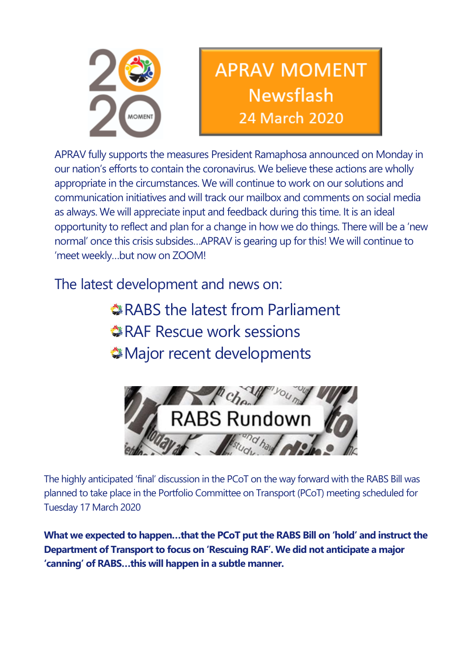

# **APRAV MOMENT Newsflash** 24 March 2020

APRAV fully supports the measures President Ramaphosa announced on Monday in our nation's efforts to contain the coronavirus. We believe these actions are wholly appropriate in the circumstances. We will continue to work on our solutions and communication initiatives and will track our mailbox and comments on social media as always. We will appreciate input and feedback during this time. It is an ideal opportunity to reflect and plan for a change in how we do things. There will be a 'new normal' once this crisis subsides…APRAV is gearing up for this! We will continue to 'meet weekly…but now on ZOOM!

The latest development and news on:

RABS the latest from Parliament RAF Rescue work sessions Major recent developments



The highly anticipated 'final' discussion in the PCoT on the way forward with the RABS Bill was planned to take place in the Portfolio Committee on Transport (PCoT) meeting scheduled for Tuesday 17 March 2020

**What we expected to happen…that the PCoT put the RABS Bill on 'hold' and instruct the Department of Transport to focus on 'Rescuing RAF'. We did not anticipate a major 'canning' of RABS…this will happen in a subtle manner.**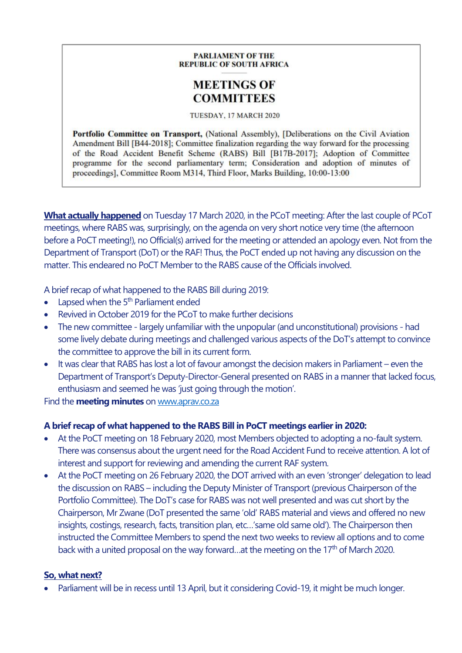#### **PARLIAMENT OF THE REPUBLIC OF SOUTH AFRICA**

### **MEETINGS OF COMMITTEES**

#### TUESDAY, 17 MARCH 2020

Portfolio Committee on Transport, (National Assembly), [Deliberations on the Civil Aviation Amendment Bill [B44-2018]; Committee finalization regarding the way forward for the processing of the Road Accident Benefit Scheme (RABS) Bill [B17B-2017]; Adoption of Committee programme for the second parliamentary term; Consideration and adoption of minutes of proceedings], Committee Room M314, Third Floor, Marks Building, 10:00-13:00

**What actually happened** on Tuesday 17 March 2020, in the PCoT meeting: After the last couple of PCoT meetings, where RABS was, surprisingly, on the agenda on very short notice very time (the afternoon before a PoCT meeting!), no Official(s) arrived for the meeting or attended an apology even. Not from the Department of Transport (DoT) or the RAF! Thus, the PoCT ended up not having any discussion on the matter. This endeared no PoCT Member to the RABS cause of the Officials involved.

A brief recap of what happened to the RABS Bill during 2019:

- Lapsed when the  $5<sup>th</sup>$  Parliament ended
- Revived in October 2019 for the PCoT to make further decisions
- The new committee largely unfamiliar with the unpopular (and unconstitutional) provisions had some lively debate during meetings and challenged various aspects of the DoT's attempt to convince the committee to approve the bill in its current form.
- It was clear that RABS has lost a lot of favour amongst the decision makers in Parliament even the Department of Transport's Deputy-Director-General presented on RABS in a manner that lacked focus, enthusiasm and seemed he was 'just going through the motion'.

Find the **meeting minutes** o[n www.aprav.co.za](http://tiny.cc/6fztlz)

#### **A brief recap of what happened to the RABS Bill in PoCT meetings earlier in 2020:**

- At the PoCT meeting on 18 February 2020, most Members objected to adopting a no-fault system. There was consensus about the urgent need for the Road Accident Fund to receive attention. A lot of interest and support for reviewing and amending the current RAF system.
- At the PoCT meeting on 26 February 2020, the DOT arrived with an even 'stronger' delegation to lead the discussion on RABS – including the Deputy Minister of Transport (previous Chairperson of the Portfolio Committee). The DoT's case for RABS was not well presented and was cut short by the Chairperson, Mr Zwane (DoT presented the same 'old' RABS material and views and offered no new insights, costings, research, facts, transition plan, etc…'same old same old'). The Chairperson then instructed the Committee Members to spend the next two weeks to review all options and to come back with a united proposal on the way forward...at the meeting on the 17<sup>th</sup> of March 2020.

#### **So, what next?**

• Parliament will be in recess until 13 April, but it considering Covid-19, it might be much longer.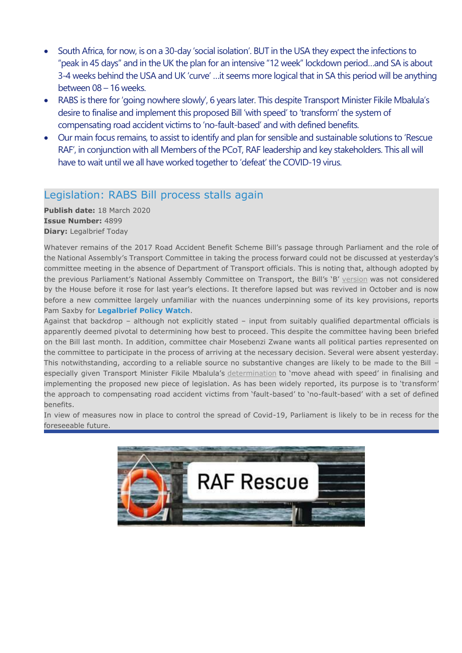- South Africa, for now, is on a 30-day 'social isolation'. BUT in the USA they expect the infections to "peak in 45 days" and in the UK the plan for an intensive "12 week" lockdown period…and SA is about 3-4 weeks behind the USA and UK 'curve' …it seems more logical that in SA this period will be anything between 08 – 16 weeks.
- RABS is there for 'going nowhere slowly', 6 years later. This despite Transport Minister Fikile Mbalula's desire to finalise and implement this proposed Bill 'with speed' to 'transform' the system of compensating road accident victims to 'no-fault-based' and with defined benefits.
- Our main focus remains, to assist to identify and plan for sensible and sustainable solutions to 'Rescue RAF', in conjunction with all Members of the PCoT, RAF leadership and key stakeholders. This all will have to wait until we all have worked together to 'defeat' the COVID-19 virus.

### Legislation: RABS Bill process stalls again

**Publish date:** 18 March 2020 **Issue Number:** 4899 **Diary:** Legalbrief Today

Whatever remains of the 2017 Road Accident Benefit Scheme Bill's passage through Parliament and the role of the National Assembly's Transport Committee in taking the process forward could not be discussed at yesterday's committee meeting in the absence of Department of Transport officials. This is noting that, although adopted by the previous Parliament's National Assembly Committee on Transport, the Bill's 'B' [version](http://pmg-assets.s3-website-eu-west-1.amazonaws.com/B17B-2017.pdf) was not considered by the House before it rose for last year's elections. It therefore lapsed but was revived in October and is now before a new committee largely unfamiliar with the nuances underpinning some of its key provisions, reports Pam Saxby for **Legalbrief Policy Watch**.

Against that backdrop – although not explicitly stated – input from suitably qualified departmental officials is apparently deemed pivotal to determining how best to proceed. This despite the committee having been briefed on the Bill last month. In addition, committee chair Mosebenzi Zwane wants all political parties represented on the committee to participate in the process of arriving at the necessary decision. Several were absent yesterday. This notwithstanding, according to a reliable source no substantive changes are likely to be made to the Bill – especially given Transport Minister Fikile Mbalula's [determination](https://www.transport.gov.za/documents/11623/126494/AppointmentBoardRaf_09Dec2019.pdf/3ed30994-17b1-4337-8cb6-c28c0d8a50a2) to 'move ahead with speed' in finalising and implementing the proposed new piece of legislation. As has been widely reported, its purpose is to 'transform' the approach to compensating road accident victims from 'fault-based' to 'no-fault-based' with a set of defined benefits.

In view of measures now in place to control the spread of Covid-19, Parliament is likely to be in recess for the foreseeable future.

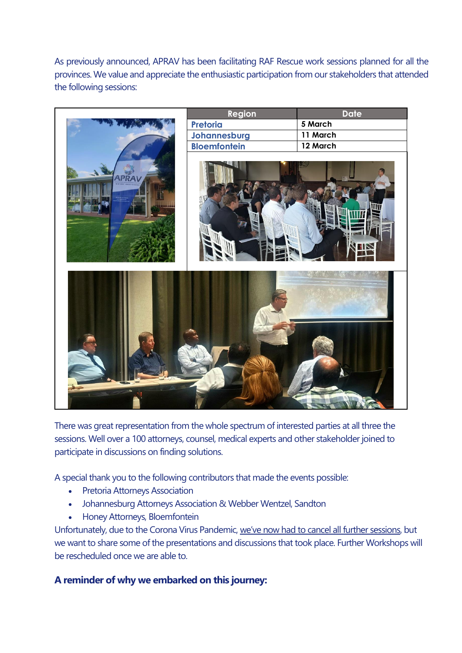As previously announced, APRAV has been facilitating RAF Rescue work sessions planned for all the provinces. We value and appreciate the enthusiastic participation from our stakeholders that attended the following sessions:



There was great representation from the whole spectrum of interested parties at all three the sessions. Well over a 100 attorneys, counsel, medical experts and other stakeholder joined to participate in discussions on finding solutions.

A special thank you to the following contributors that made the events possible:

- Pretoria Attorneys Association
- Johannesburg Attorneys Association & Webber Wentzel, Sandton
- Honey Attorneys, Bloemfontein

Unfortunately, due to the Corona Virus Pandemic, we've now had to cancel all further sessions, but we want to share some of the presentations and discussions that took place. Further Workshops will be rescheduled once we are able to.

#### **A reminder of why we embarked on this journey:**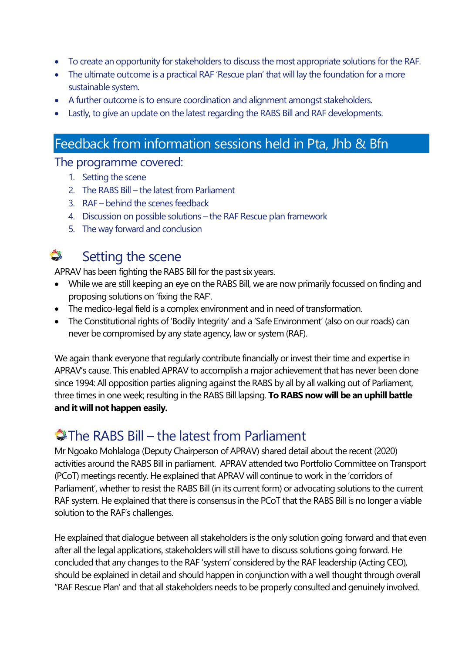- To create an opportunity for stakeholders to discuss the most appropriate solutions for the RAF.
- The ultimate outcome is a practical RAF 'Rescue plan' that will lay the foundation for a more sustainable system.
- A further outcome is to ensure coordination and alignment amongst stakeholders.
- Lastly, to give an update on the latest regarding the RABS Bill and RAF developments.

### Feedback from information sessions held in Pta, Jhb & Bfn

### The programme covered:

- 1. Setting the scene
- 2. The RABS Bill the latest from Parliament
- 3. RAF behind the scenes feedback
- 4. Discussion on possible solutions the RAF Rescue plan framework
- 5. The way forward and conclusion

## Setting the scene

APRAV has been fighting the RABS Bill for the past six years.

- While we are still keeping an eye on the RABS Bill, we are now primarily focussed on finding and proposing solutions on 'fixing the RAF'.
- The medico-legal field is a complex environment and in need of transformation.
- The Constitutional rights of 'Bodily Integrity' and a 'Safe Environment' (also on our roads) can never be compromised by any state agency, law or system (RAF).

We again thank everyone that regularly contribute financially or invest their time and expertise in APRAV's cause. This enabled APRAV to accomplish a major achievement that has never been done since 1994: All opposition parties aligning against the RABS by all by all walking out of Parliament, three times in one week; resulting in the RABS Bill lapsing. **To RABS now will be an uphill battle and it will not happen easily.**

### The RABS Bill – the latest from Parliament

Mr Ngoako Mohlaloga (Deputy Chairperson of APRAV) shared detail about the recent (2020) activities around the RABS Bill in parliament. APRAV attended two Portfolio Committee on Transport (PCoT) meetings recently. He explained that APRAV will continue to work in the 'corridors of Parliament', whether to resist the RABS Bill (in its current form) or advocating solutions to the current RAF system. He explained that there is consensus in the PCoT that the RABS Bill is no longer a viable solution to the RAF's challenges.

He explained that dialogue between all stakeholders is the only solution going forward and that even after all the legal applications, stakeholders will still have to discuss solutions going forward. He concluded that any changes to the RAF 'system' considered by the RAF leadership (Acting CEO), should be explained in detail and should happen in conjunction with a well thought through overall "RAF Rescue Plan' and that all stakeholders needs to be properly consulted and genuinely involved.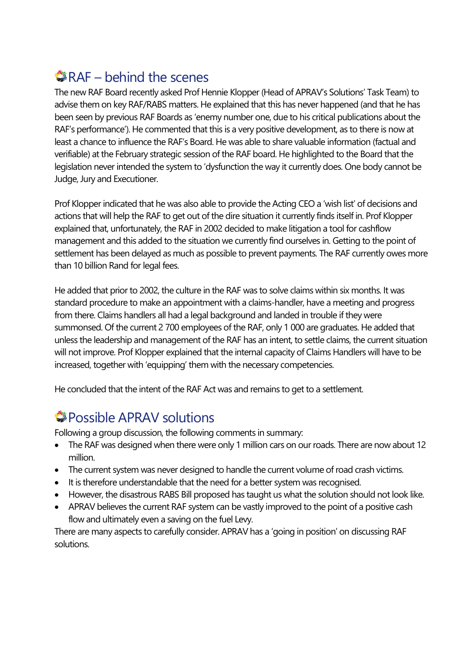# RAF – behind the scenes

The new RAF Board recently asked Prof Hennie Klopper (Head of APRAV's Solutions' Task Team) to advise them on key RAF/RABS matters. He explained that this has never happened (and that he has been seen by previous RAF Boards as 'enemy number one, due to his critical publications about the RAF's performance'). He commented that this is a very positive development, as to there is now at least a chance to influence the RAF's Board. He was able to share valuable information (factual and verifiable) at the February strategic session of the RAF board. He highlighted to the Board that the legislation never intended the system to 'dysfunction the way it currently does. One body cannot be Judge, Jury and Executioner.

Prof Klopper indicated that he was also able to provide the Acting CEO a 'wish list' of decisions and actions that will help the RAF to get out of the dire situation it currently finds itself in. Prof Klopper explained that, unfortunately, the RAF in 2002 decided to make litigation a tool for cashflow management and this added to the situation we currently find ourselves in. Getting to the point of settlement has been delayed as much as possible to prevent payments. The RAF currently owes more than 10 billion Rand for legal fees.

He added that prior to 2002, the culture in the RAF was to solve claims within six months. It was standard procedure to make an appointment with a claims-handler, have a meeting and progress from there. Claims handlers all had a legal background and landed in trouble if they were summonsed. Of the current 2 700 employees of the RAF, only 1 000 are graduates. He added that unless the leadership and management of the RAF has an intent, to settle claims, the current situation will not improve. Prof Klopper explained that the internal capacity of Claims Handlers will have to be increased, together with 'equipping' them with the necessary competencies.

He concluded that the intent of the RAF Act was and remains to get to a settlement.

# **Possible APRAV solutions**

Following a group discussion, the following comments in summary:

- The RAF was designed when there were only 1 million cars on our roads. There are now about 12 million.
- The current system was never designed to handle the current volume of road crash victims.
- It is therefore understandable that the need for a better system was recognised.
- However, the disastrous RABS Bill proposed has taught us what the solution should not look like.
- APRAV believes the current RAF system can be vastly improved to the point of a positive cash flow and ultimately even a saving on the fuel Levy.

There are many aspects to carefully consider. APRAV has a 'going in position' on discussing RAF solutions.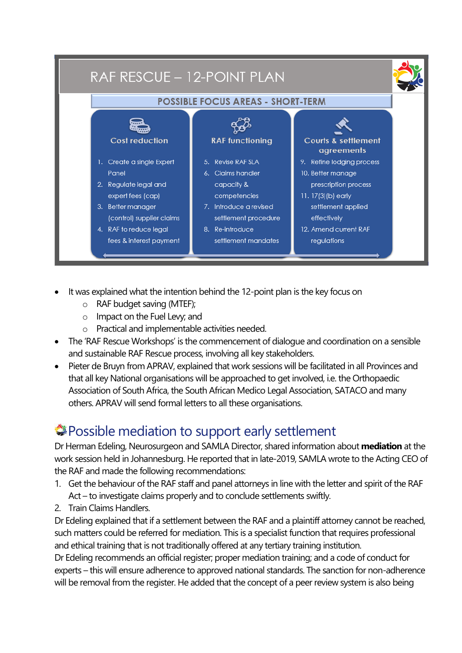

- It was explained what the intention behind the 12-point plan is the key focus on
	- o RAF budget saving (MTEF);
	- o Impact on the Fuel Levy; and
	- o Practical and implementable activities needed.
- The 'RAF Rescue Workshops' is the commencement of dialogue and coordination on a sensible and sustainable RAF Rescue process, involving all key stakeholders.
- Pieter de Bruyn from APRAV, explained that work sessions will be facilitated in all Provinces and that all key National organisations will be approached to get involved, i.e. the Orthopaedic Association of South Africa, the South African Medico Legal Association, SATACO and many others. APRAV will send formal letters to all these organisations.

# Possible mediation to support early settlement

Dr Herman Edeling, Neurosurgeon and SAMLA Director, shared information about **mediation** at the work session held in Johannesburg. He reported that in late-2019, SAMLA wrote to the Acting CEO of the RAF and made the following recommendations:

- 1. Get the behaviour of the RAF staff and panel attorneys in line with the letter and spirit of the RAF Act – to investigate claims properly and to conclude settlements swiftly.
- 2. Train Claims Handlers.

Dr Edeling explained that if a settlement between the RAF and a plaintiff attorney cannot be reached, such matters could be referred for mediation. This is a specialist function that requires professional and ethical training that is not traditionally offered at any tertiary training institution.

Dr Edeling recommends an official register; proper mediation training; and a code of conduct for experts – this will ensure adherence to approved national standards. The sanction for non-adherence will be removal from the register. He added that the concept of a peer review system is also being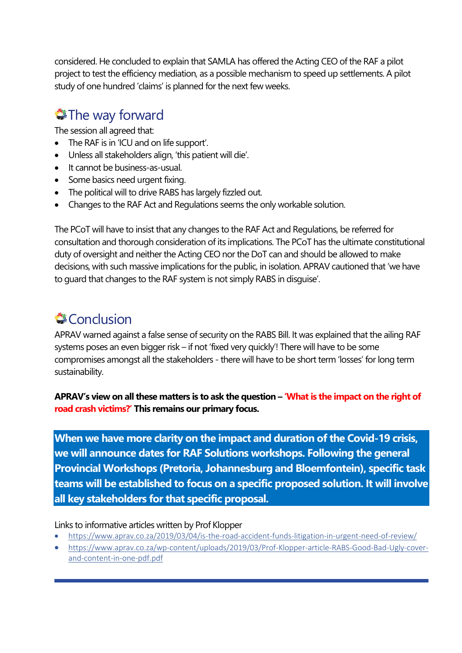considered. He concluded to explain that SAMLA has offered the Acting CEO of the RAF a pilot project to test the efficiency mediation, as a possible mechanism to speed up settlements. A pilot study of one hundred 'claims' is planned for the next few weeks.

# **The way forward**

The session all agreed that:

- The RAF is in 'ICU and on life support'.
- Unless all stakeholders align, 'this patient will die'.
- It cannot be business-as-usual.
- Some basics need urgent fixing.
- The political will to drive RABS has largely fizzled out.
- Changes to the RAF Act and Regulations seems the only workable solution.

The PCoT will have to insist that any changes to the RAF Act and Regulations, be referred for consultation and thorough consideration of its implications. The PCoT has the ultimate constitutional duty of oversight and neither the Acting CEO nor the DoT can and should be allowed to make decisions, with such massive implications for the public, in isolation. APRAV cautioned that 'we have to guard that changes to the RAF system is not simply RABS in disguise'.

# **Conclusion**

APRAV warned against a false sense of security on the RABS Bill. It was explained that the ailing RAF systems poses an even bigger risk – if not 'fixed very quickly'! There will have to be some compromises amongst all the stakeholders - there will have to be short term 'losses' for long term sustainability.

**APRAV's view on all these matters is to ask the question – 'What is the impact on the right of road crash victims?' This remains our primary focus.**

**When we have more clarity on the impact and duration of the Covid-19 crisis, we will announce dates for RAF Solutions workshops. Following the general Provincial Workshops (Pretoria, Johannesburg and Bloemfontein), specific task teams will be established to focus on a specific proposed solution. It will involve** all key stakeholders for that specific proposal.

#### Links to informative articles written by Prof Klopper

- <https://www.aprav.co.za/2019/03/04/is-the-road-accident-funds-litigation-in-urgent-need-of-review/>
- [https://www.aprav.co.za/wp-content/uploads/2019/03/Prof-Klopper-article-RABS-Good-Bad-Ugly-cover](https://www.aprav.co.za/wp-content/uploads/2019/03/Prof-Klopper-article-RABS-Good-Bad-Ugly-cover-and-content-in-one-pdf.pdf)[and-content-in-one-pdf.pdf](https://www.aprav.co.za/wp-content/uploads/2019/03/Prof-Klopper-article-RABS-Good-Bad-Ugly-cover-and-content-in-one-pdf.pdf)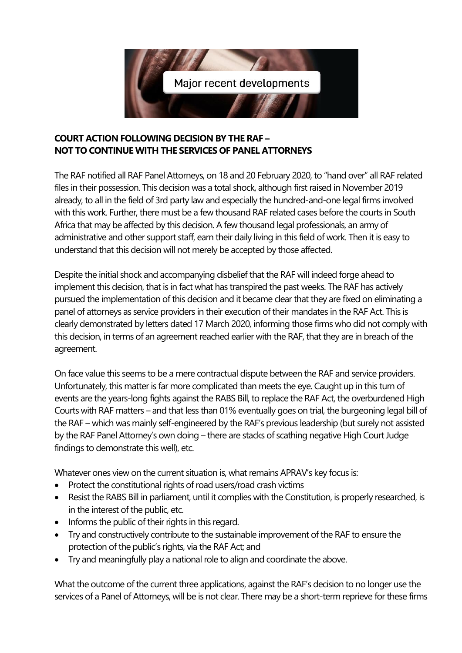

#### **COURT ACTION FOLLOWING DECISION BY THE RAF – NOT TO CONTINUE WITH THE SERVICES OF PANEL ATTORNEYS**

The RAF notified all RAF Panel Attorneys, on 18 and 20 February 2020, to "hand over" all RAF related files in their possession. This decision was a total shock, although first raised in November 2019 already, to all in the field of 3rd party law and especially the hundred-and-one legal firms involved with this work. Further, there must be a few thousand RAF related cases before the courts in South Africa that may be affected by this decision. A few thousand legal professionals, an army of administrative and other support staff, earn their daily living in this field of work. Then it is easy to understand that this decision will not merely be accepted by those affected.

Despite the initial shock and accompanying disbelief that the RAF will indeed forge ahead to implement this decision, that is in fact what has transpired the past weeks. The RAF has actively pursued the implementation of this decision and it became clear that they are fixed on eliminating a panel of attorneys as service providers in their execution of their mandates in the RAF Act. This is clearly demonstrated by letters dated 17 March 2020, informing those firms who did not comply with this decision, in terms of an agreement reached earlier with the RAF, that they are in breach of the agreement.

On face value this seems to be a mere contractual dispute between the RAF and service providers. Unfortunately, this matter is far more complicated than meets the eye. Caught up in this turn of events are the years-long fights against the RABS Bill, to replace the RAF Act, the overburdened High Courts with RAF matters – and that less than 01% eventually goes on trial, the burgeoning legal bill of the RAF – which was mainly self-engineered by the RAF's previous leadership (but surely not assisted by the RAF Panel Attorney's own doing – there are stacks of scathing negative High Court Judge findings to demonstrate this well), etc.

Whatever ones view on the current situation is, what remains APRAV's key focus is:

- Protect the constitutional rights of road users/road crash victims
- Resist the RABS Bill in parliament, until it complies with the Constitution, is properly researched, is in the interest of the public, etc.
- Informs the public of their rights in this regard.
- Try and constructively contribute to the sustainable improvement of the RAF to ensure the protection of the public's rights, via the RAF Act; and
- Try and meaningfully play a national role to align and coordinate the above.

What the outcome of the current three applications, against the RAF's decision to no longer use the services of a Panel of Attorneys, will be is not clear. There may be a short-term reprieve for these firms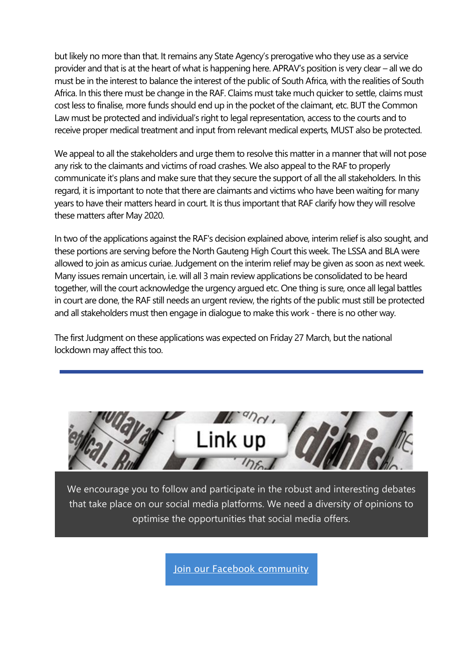but likely no more than that. It remains any State Agency's prerogative who they use as a service provider and that is at the heart of what is happening here. APRAV's position is very clear – all we do must be in the interest to balance the interest of the public of South Africa, with the realities of South Africa. In this there must be change in the RAF. Claims must take much quicker to settle, claims must cost less to finalise, more funds should end up in the pocket of the claimant, etc. BUT the Common Law must be protected and individual's right to legal representation, access to the courts and to receive proper medical treatment and input from relevant medical experts, MUST also be protected.

We appeal to all the stakeholders and urge them to resolve this matter in a manner that will not pose any risk to the claimants and victims of road crashes. We also appeal to the RAF to properly communicate it's plans and make sure that they secure the support of all the all stakeholders. In this regard, it is important to note that there are claimants and victims who have been waiting for many years to have their matters heard in court. It is thus important that RAF clarify how they will resolve these matters after May 2020.

In two of the applications against the RAF's decision explained above, interim relief is also sought, and these portions are serving before the North Gauteng High Court this week. The LSSA and BLA were allowed to join as amicus curiae. Judgement on the interim relief may be given as soon as next week. Many issues remain uncertain, i.e. will all 3 main review applications be consolidated to be heard together, will the court acknowledge the urgency argued etc. One thing is sure, once all legal battles in court are done, the RAF still needs an urgent review, the rights of the public must still be protected and all stakeholders must then engage in dialogue to make this work - there is no other way.

The first Judgment on these applications was expected on Friday 27 March, but the national lockdown may affect this too.



We encourage you to follow and participate in the robust and interesting debates that take place on our social media platforms. We need a diversity of opinions to optimise the opportunities that social media offers.

[Join our Facebook community](https://us20.mailchimp.com/mctx/clicks?url=https%3A%2F%2Fweb.facebook.com%2Faprav.live%2F&h=365826dac1adfceb397e2741c2042ae5ed29e4348f2fc474227e2ae02827a750&v=1&xid=2235bf26e1&uid=110013942&pool=&subject=)